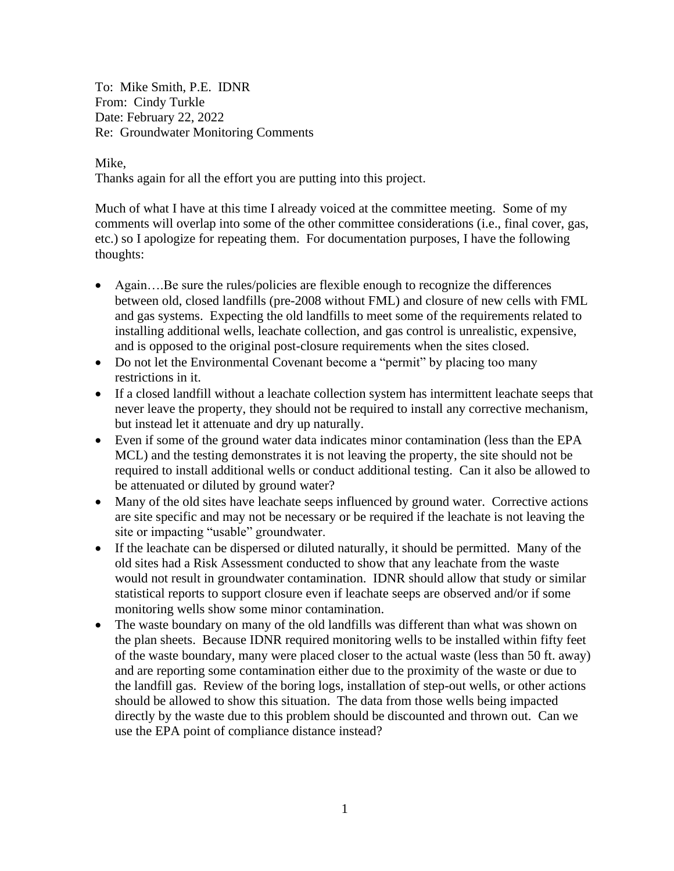To: Mike Smith, P.E. IDNR From: Cindy Turkle Date: February 22, 2022 Re: Groundwater Monitoring Comments

## Mike,

Thanks again for all the effort you are putting into this project.

Much of what I have at this time I already voiced at the committee meeting. Some of my comments will overlap into some of the other committee considerations (i.e., final cover, gas, etc.) so I apologize for repeating them. For documentation purposes, I have the following thoughts:

- Again....Be sure the rules/policies are flexible enough to recognize the differences between old, closed landfills (pre-2008 without FML) and closure of new cells with FML and gas systems. Expecting the old landfills to meet some of the requirements related to installing additional wells, leachate collection, and gas control is unrealistic, expensive, and is opposed to the original post-closure requirements when the sites closed.
- Do not let the Environmental Covenant become a "permit" by placing too many restrictions in it.
- If a closed landfill without a leachate collection system has intermittent leachate seeps that never leave the property, they should not be required to install any corrective mechanism, but instead let it attenuate and dry up naturally.
- Even if some of the ground water data indicates minor contamination (less than the EPA MCL) and the testing demonstrates it is not leaving the property, the site should not be required to install additional wells or conduct additional testing. Can it also be allowed to be attenuated or diluted by ground water?
- Many of the old sites have leachate seeps influenced by ground water. Corrective actions are site specific and may not be necessary or be required if the leachate is not leaving the site or impacting "usable" groundwater.
- If the leachate can be dispersed or diluted naturally, it should be permitted. Many of the old sites had a Risk Assessment conducted to show that any leachate from the waste would not result in groundwater contamination. IDNR should allow that study or similar statistical reports to support closure even if leachate seeps are observed and/or if some monitoring wells show some minor contamination.
- The waste boundary on many of the old landfills was different than what was shown on the plan sheets. Because IDNR required monitoring wells to be installed within fifty feet of the waste boundary, many were placed closer to the actual waste (less than 50 ft. away) and are reporting some contamination either due to the proximity of the waste or due to the landfill gas. Review of the boring logs, installation of step-out wells, or other actions should be allowed to show this situation. The data from those wells being impacted directly by the waste due to this problem should be discounted and thrown out. Can we use the EPA point of compliance distance instead?